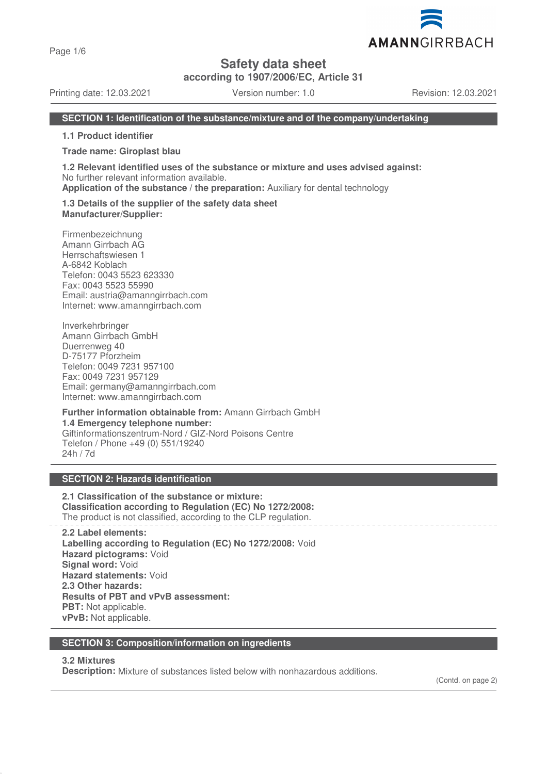Page 1/6

**Safety data sheet**

**according to 1907/2006/EC, Article 31**

Printing date: 12.03.2021 Version number: 1.0 Revision: 12.03.2021

AMANNGIRRBACH

### **SECTION 1: Identification of the substance/mixture and of the company/undertaking**

**1.1 Product identifier**

**Trade name: Giroplast blau**

**1.2 Relevant identified uses of the substance or mixture and uses advised against:** No further relevant information available.

**Application of the substance / the preparation:** Auxiliary for dental technology

**1.3 Details of the supplier of the safety data sheet Manufacturer/Supplier:**

Firmenbezeichnung Amann Girrbach AG Herrschaftswiesen 1 A-6842 Koblach Telefon: 0043 5523 623330 Fax: 0043 5523 55990 Email: austria@amanngirrbach.com Internet: www.amanngirrbach.com

Inverkehrbringer Amann Girrbach GmbH Duerrenweg 40 D-75177 Pforzheim Telefon: 0049 7231 957100 Fax: 0049 7231 957129 Email: germany@amanngirrbach.com Internet: www.amanngirrbach.com

**Further information obtainable from:** Amann Girrbach GmbH **1.4 Emergency telephone number:** Giftinformationszentrum-Nord / GIZ-Nord Poisons Centre Telefon / Phone +49 (0) 551/19240 24h / 7d

## **SECTION 2: Hazards identification**

**2.1 Classification of the substance or mixture: Classification according to Regulation (EC) No 1272/2008:** The product is not classified, according to the CLP regulation.

**2.2 Label elements: Labelling according to Regulation (EC) No 1272/2008:** Void **Hazard pictograms:** Void **Signal word:** Void **Hazard statements:** Void **2.3 Other hazards: Results of PBT and vPvB assessment: PBT:** Not applicable. **vPvB:** Not applicable.

#### **SECTION 3: Composition/information on ingredients**

#### **3.2 Mixtures**

**Description:** Mixture of substances listed below with nonhazardous additions.

(Contd. on page 2)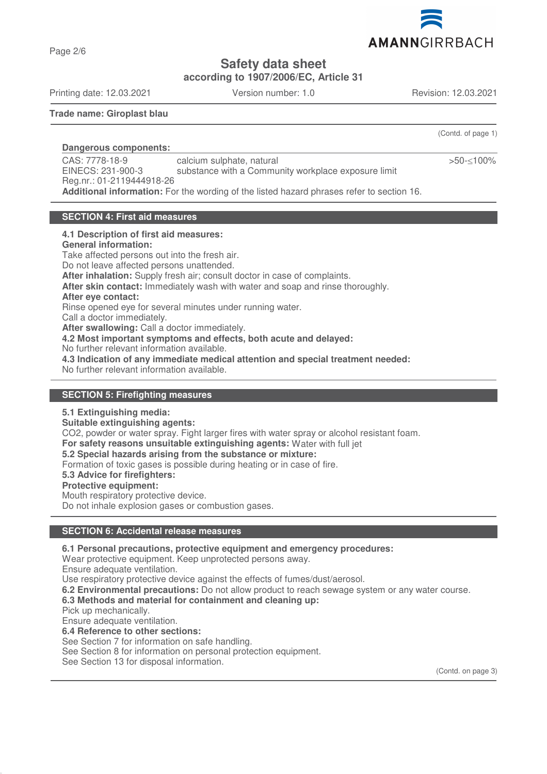

**Safety data sheet**

**according to 1907/2006/EC, Article 31**

Printing date: 12.03.2021 Version number: 1.0 Revision: 12.03.2021

**Trade name: Giroplast blau**

(Contd. of page 1)

>50-≤100%

**Dangerous components:**  CAS: 7778-18-9 EINECS: 231-900-3 Reg.nr.: 01-2119444918-26 calcium sulphate, natural substance with a Community workplace exposure limit **Additional information:** For the wording of the listed hazard phrases refer to section 16.

## **SECTION 4: First aid measures**

#### **4.1 Description of first aid measures:**

**General information:**

Take affected persons out into the fresh air. Do not leave affected persons unattended.

**After inhalation:** Supply fresh air; consult doctor in case of complaints.

**After skin contact:** Immediately wash with water and soap and rinse thoroughly.

### **After eye contact:**

Rinse opened eye for several minutes under running water.

Call a doctor immediately.

**After swallowing:** Call a doctor immediately.

**4.2 Most important symptoms and effects, both acute and delayed:**

No further relevant information available.

**4.3 Indication of any immediate medical attention and special treatment needed:**

No further relevant information available.

### **SECTION 5: Firefighting measures**

### **5.1 Extinguishing media:**

**Suitable extinguishing agents:**

CO2, powder or water spray. Fight larger fires with water spray or alcohol resistant foam.

**For safety reasons unsuitable extinguishing agents:** Water with full jet

### **5.2 Special hazards arising from the substance or mixture:**

Formation of toxic gases is possible during heating or in case of fire.

#### **5.3 Advice for firefighters:**

#### **Protective equipment:**

Mouth respiratory protective device.

Do not inhale explosion gases or combustion gases.

### **SECTION 6: Accidental release measures**

**6.1 Personal precautions, protective equipment and emergency procedures:**

Wear protective equipment. Keep unprotected persons away.

Ensure adequate ventilation.

Use respiratory protective device against the effects of fumes/dust/aerosol.

**6.2 Environmental precautions:** Do not allow product to reach sewage system or any water course.

**6.3 Methods and material for containment and cleaning up:**

Pick up mechanically.

Ensure adequate ventilation.

**6.4 Reference to other sections:**

See Section 7 for information on safe handling.

See Section 8 for information on personal protection equipment.

See Section 13 for disposal information.

(Contd. on page 3)

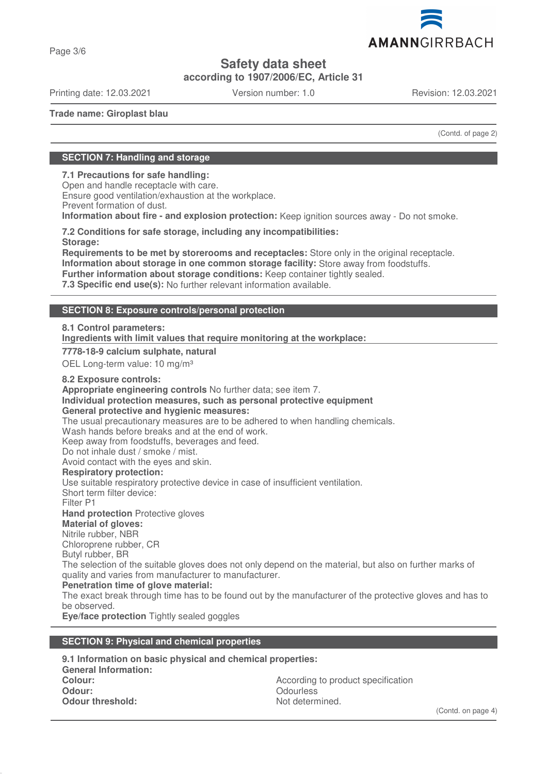

**Safety data sheet**

**according to 1907/2006/EC, Article 31**

Printing date: 12.03.2021 Version number: 1.0 Revision: 12.03.2021

**Trade name: Giroplast blau**

(Contd. of page 2)

## **SECTION 7: Handling and storage**

**7.1 Precautions for safe handling:** Open and handle receptacle with care.

Ensure good ventilation/exhaustion at the workplace.

Prevent formation of dust.

**Information about fire - and explosion protection:** Keep ignition sources away - Do not smoke.

**7.2 Conditions for safe storage, including any incompatibilities: Storage:**

**Requirements to be met by storerooms and receptacles:** Store only in the original receptacle. **Information about storage in one common storage facility:** Store away from foodstuffs. **Further information about storage conditions:** Keep container tightly sealed.

**7.3 Specific end use(s):** No further relevant information available.

## **SECTION 8: Exposure controls/personal protection**

**8.1 Control parameters:**

**Ingredients with limit values that require monitoring at the workplace:** 

**7778-18-9 calcium sulphate, natural**

OEL Long-term value: 10 mg/m<sup>3</sup>

**8.2 Exposure controls:**

**Appropriate engineering controls** No further data; see item 7.

**Individual protection measures, such as personal protective equipment**

### **General protective and hygienic measures:**

The usual precautionary measures are to be adhered to when handling chemicals.

Wash hands before breaks and at the end of work.

Keep away from foodstuffs, beverages and feed.

Do not inhale dust / smoke / mist.

Avoid contact with the eyes and skin.

# **Respiratory protection:**

Use suitable respiratory protective device in case of insufficient ventilation.

Short term filter device:

Filter P1

**Hand protection** Protective gloves

## **Material of gloves:**

Nitrile rubber, NBR

Chloroprene rubber, CR

Butyl rubber, BR

The selection of the suitable gloves does not only depend on the material, but also on further marks of quality and varies from manufacturer to manufacturer.

### **Penetration time of glove material:**

The exact break through time has to be found out by the manufacturer of the protective gloves and has to be observed.

**Eye/face protection** Tightly sealed goggles

# **SECTION 9: Physical and chemical properties**

| 9.1 Information on basic physical and chemical properties: |  |
|------------------------------------------------------------|--|
|                                                            |  |
| According to product specification                         |  |
| <b>Odourless</b>                                           |  |
| Not determined.                                            |  |
|                                                            |  |

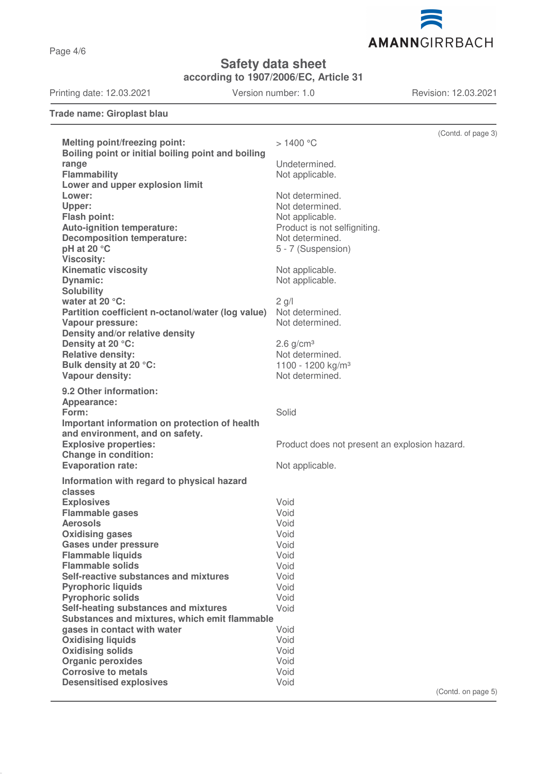Page 4/6

# **Safety data sheet**

**according to 1907/2006/EC, Article 31**

Printing date: 12.03.2021 Version number: 1.0 Revision: 12.03.2021

AMANNGIRRBACH

**Trade name: Giroplast blau**

|                                                    | (Contd. of page 3)                            |
|----------------------------------------------------|-----------------------------------------------|
| <b>Melting point/freezing point:</b>               | $>1400$ °C                                    |
| Boiling point or initial boiling point and boiling |                                               |
| range                                              | Undetermined.                                 |
| <b>Flammability</b>                                | Not applicable.                               |
| Lower and upper explosion limit                    |                                               |
| Lower:                                             | Not determined.                               |
| Upper:                                             | Not determined.                               |
| <b>Flash point:</b>                                | Not applicable.                               |
| Auto-ignition temperature:                         | Product is not selfigniting.                  |
| <b>Decomposition temperature:</b>                  | Not determined.                               |
| pH at 20 °C                                        | 5 - 7 (Suspension)                            |
| <b>Viscosity:</b>                                  |                                               |
| <b>Kinematic viscosity</b>                         | Not applicable.                               |
| Dynamic:                                           | Not applicable.                               |
| <b>Solubility</b>                                  |                                               |
| water at 20 °C:                                    | $2$ g/l                                       |
| Partition coefficient n-octanol/water (log value)  | Not determined.                               |
| <b>Vapour pressure:</b>                            | Not determined.                               |
| Density and/or relative density                    |                                               |
| Density at 20 °C:                                  | $2.6$ g/cm <sup>3</sup>                       |
| <b>Relative density:</b>                           | Not determined.                               |
| Bulk density at 20 °C:                             | 1100 - 1200 kg/m <sup>3</sup>                 |
| Vapour density:                                    | Not determined.                               |
| 9.2 Other information:                             |                                               |
| Appearance:                                        |                                               |
| Form:                                              | Solid                                         |
| Important information on protection of health      |                                               |
| and environment, and on safety.                    |                                               |
| <b>Explosive properties:</b>                       | Product does not present an explosion hazard. |
| <b>Change in condition:</b>                        |                                               |
| <b>Evaporation rate:</b>                           | Not applicable.                               |
| Information with regard to physical hazard         |                                               |
| classes                                            |                                               |
| <b>Explosives</b>                                  | Void                                          |
| <b>Flammable gases</b>                             | Void                                          |
| <b>Aerosols</b>                                    | Void                                          |
| <b>Oxidising gases</b>                             | Void                                          |
| <b>Gases under pressure</b>                        | Void                                          |
| <b>Flammable liquids</b>                           | Void                                          |
| <b>Flammable solids</b>                            | Void                                          |
| Self-reactive substances and mixtures              | Void                                          |
| <b>Pyrophoric liquids</b>                          | Void                                          |
| <b>Pyrophoric solids</b>                           | Void                                          |
| Self-heating substances and mixtures               | Void                                          |
| Substances and mixtures, which emit flammable      |                                               |
| gases in contact with water                        | Void                                          |
| <b>Oxidising liquids</b>                           | Void                                          |
| <b>Oxidising solids</b>                            | Void                                          |
| <b>Organic peroxides</b>                           | Void                                          |
| <b>Corrosive to metals</b>                         | Void                                          |
| <b>Desensitised explosives</b>                     | Void                                          |
|                                                    |                                               |

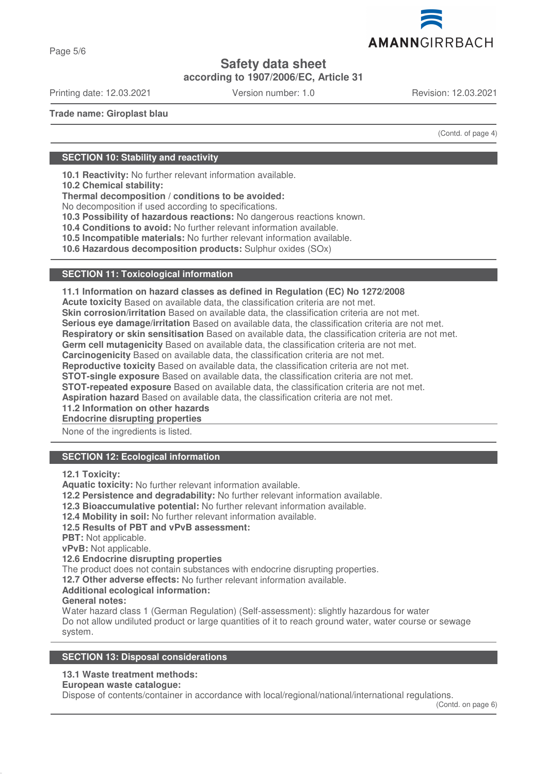

Page 5/6

# **Safety data sheet**

**according to 1907/2006/EC, Article 31**

Printing date: 12.03.2021 Version number: 1.0 Revision: 12.03.2021

**Trade name: Giroplast blau**

(Contd. of page 4)

# **SECTION 10: Stability and reactivity**

**10.1 Reactivity:** No further relevant information available.

**10.2 Chemical stability:**

**Thermal decomposition / conditions to be avoided:**

No decomposition if used according to specifications.

**10.3 Possibility of hazardous reactions:** No dangerous reactions known.

**10.4 Conditions to avoid:** No further relevant information available.

**10.5 Incompatible materials:** No further relevant information available.

**10.6 Hazardous decomposition products:** Sulphur oxides (SOx)

## **SECTION 11: Toxicological information**

**11.1 Information on hazard classes as defined in Regulation (EC) No 1272/2008**

**Acute toxicity** Based on available data, the classification criteria are not met.

**Skin corrosion/irritation** Based on available data, the classification criteria are not met.

**Serious eye damage/irritation** Based on available data, the classification criteria are not met.

**Respiratory or skin sensitisation** Based on available data, the classification criteria are not met.

**Germ cell mutagenicity** Based on available data, the classification criteria are not met.

**Carcinogenicity** Based on available data, the classification criteria are not met.

**Reproductive toxicity** Based on available data, the classification criteria are not met.

**STOT-single exposure** Based on available data, the classification criteria are not met.

**STOT-repeated exposure** Based on available data, the classification criteria are not met.

**Aspiration hazard** Based on available data, the classification criteria are not met.

**11.2 Information on other hazards**

**Endocrine disrupting properties** 

None of the ingredients is listed.

# **SECTION 12: Ecological information**

**12.1 Toxicity:**

**Aquatic toxicity:** No further relevant information available.

**12.2 Persistence and degradability:** No further relevant information available.

**12.3 Bioaccumulative potential:** No further relevant information available.

**12.4 Mobility in soil:** No further relevant information available.

## **12.5 Results of PBT and vPvB assessment:**

**PBT:** Not applicable.

**vPvB:** Not applicable.

### **12.6 Endocrine disrupting properties**

The product does not contain substances with endocrine disrupting properties.

**12.7 Other adverse effects:** No further relevant information available.

## **Additional ecological information:**

## **General notes:**

Water hazard class 1 (German Regulation) (Self-assessment): slightly hazardous for water Do not allow undiluted product or large quantities of it to reach ground water, water course or sewage system.

## **SECTION 13: Disposal considerations**

# **13.1 Waste treatment methods:**

**European waste catalogue:**

Dispose of contents/container in accordance with local/regional/national/international regulations.